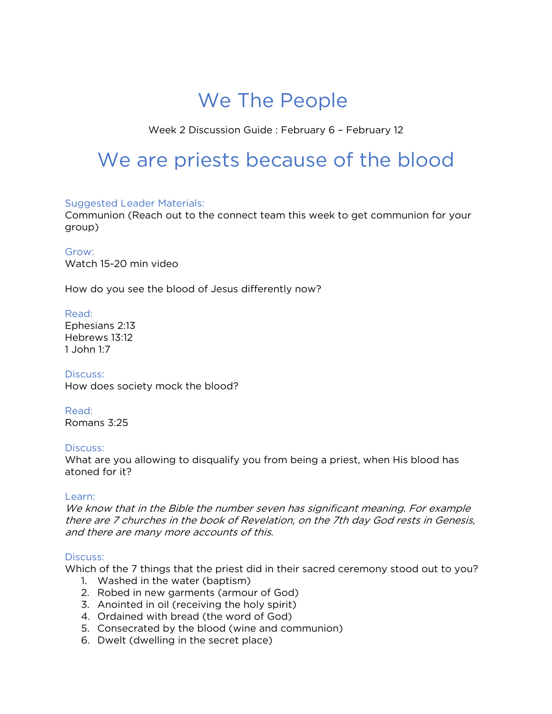## We The People

Week 2 Discussion Guide : February 6 – February 12

# We are priests because of the blood

### Suggested Leader Materials:

Communion (Reach out to the connect team this week to get communion for your group)

#### Grow:

Watch 15-20 min video

How do you see the blood of Jesus differently now?

### Read:

Ephesians 2:13 Hebrews 13:12 1 John 1:7

Discuss: How does society mock the blood?

Read: Romans 3:25

### Discuss:

What are you allowing to disqualify you from being a priest, when His blood has atoned for it?

#### Learn:

We know that in the Bible the number seven has significant meaning. For example there are 7 churches in the book of Revelation, on the 7th day God rests in Genesis, and there are many more accounts of this.

### Discuss:

Which of the 7 things that the priest did in their sacred ceremony stood out to you?

- 1. Washed in the water (baptism)
- 2. Robed in new garments (armour of God)
- 3. Anointed in oil (receiving the holy spirit)
- 4. Ordained with bread (the word of God)
- 5. Consecrated by the blood (wine and communion)
- 6. Dwelt (dwelling in the secret place)